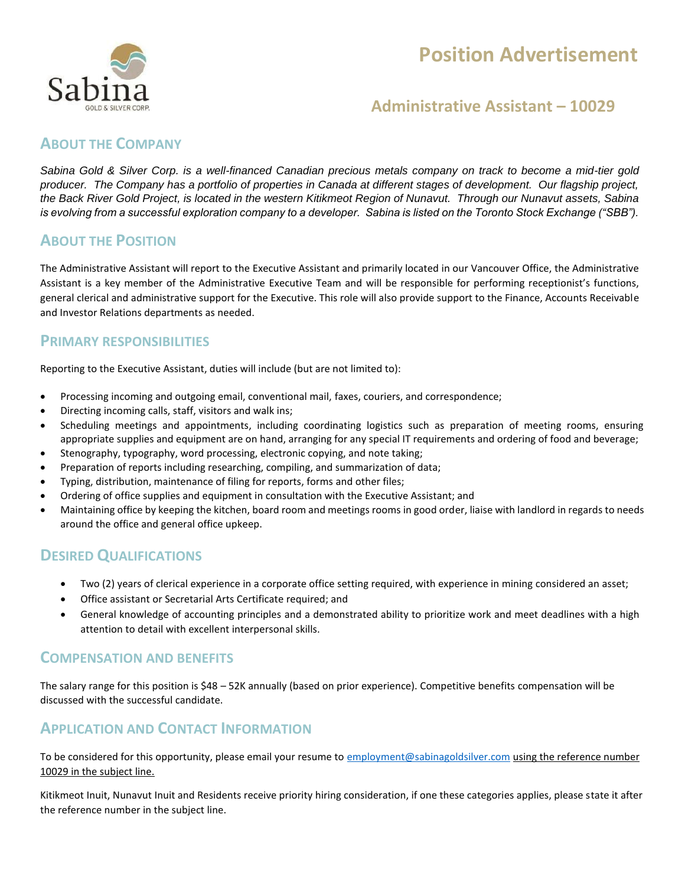# **Position Advertisement**



### **Administrative Assistant – 10029**

#### **ABOUT THE COMPANY**

*Sabina Gold & Silver Corp. is a well-financed Canadian precious metals company on track to become a mid-tier gold producer. The Company has a portfolio of properties in Canada at different stages of development. Our flagship project, the Back River Gold Project, is located in the western Kitikmeot Region of Nunavut. Through our Nunavut assets, Sabina is evolving from a successful exploration company to a developer. Sabina is listed on the Toronto Stock Exchange ("SBB").*

#### **ABOUT THE POSITION**

The Administrative Assistant will report to the Executive Assistant and primarily located in our Vancouver Office, the Administrative Assistant is a key member of the Administrative Executive Team and will be responsible for performing receptionist's functions, general clerical and administrative support for the Executive. This role will also provide support to the Finance, Accounts Receivable and Investor Relations departments as needed.

#### **PRIMARY RESPONSIBILITIES**

Reporting to the Executive Assistant, duties will include (but are not limited to):

- Processing incoming and outgoing email, conventional mail, faxes, couriers, and correspondence;
- Directing incoming calls, staff, visitors and walk ins;
- Scheduling meetings and appointments, including coordinating logistics such as preparation of meeting rooms, ensuring appropriate supplies and equipment are on hand, arranging for any special IT requirements and ordering of food and beverage;
- Stenography, typography, word processing, electronic copying, and note taking;
- Preparation of reports including researching, compiling, and summarization of data;
- Typing, distribution, maintenance of filing for reports, forms and other files;
- Ordering of office supplies and equipment in consultation with the Executive Assistant; and
- Maintaining office by keeping the kitchen, board room and meetings rooms in good order, liaise with landlord in regards to needs around the office and general office upkeep.

#### **DESIRED QUALIFICATIONS**

- Two (2) years of clerical experience in a corporate office setting required, with experience in mining considered an asset;
- Office assistant or Secretarial Arts Certificate required; and
- General knowledge of accounting principles and a demonstrated ability to prioritize work and meet deadlines with a high attention to detail with excellent interpersonal skills.

#### **COMPENSATION AND BENEFITS**

The salary range for this position is \$48 – 52K annually (based on prior experience). Competitive benefits compensation will be discussed with the successful candidate.

#### **APPLICATION AND CONTACT INFORMATION**

To be considered for this opportunity, please email your resume to [employment@sabinagoldsilver.com](mailto:employment@sabinagoldsilver.com) using the reference number 10029 in the subject line.

Kitikmeot Inuit, Nunavut Inuit and Residents receive priority hiring consideration, if one these categories applies, please state it after the reference number in the subject line.